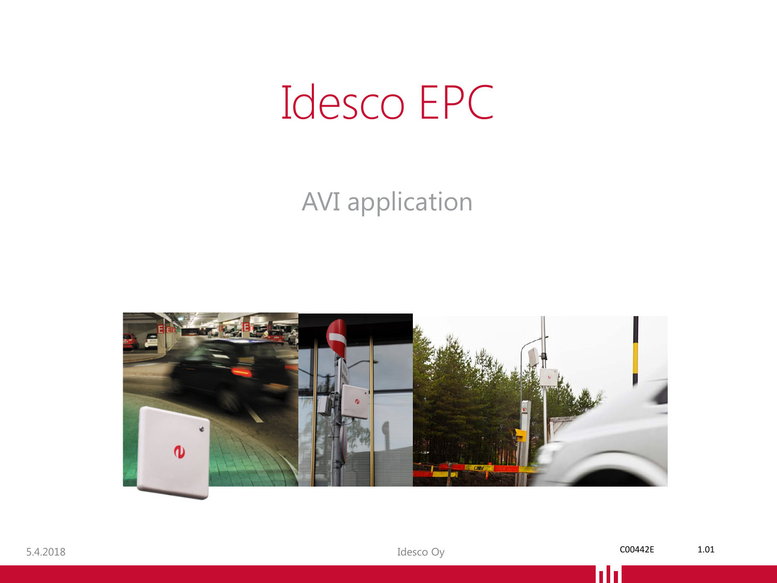#### Idesco EPC

#### AVI application

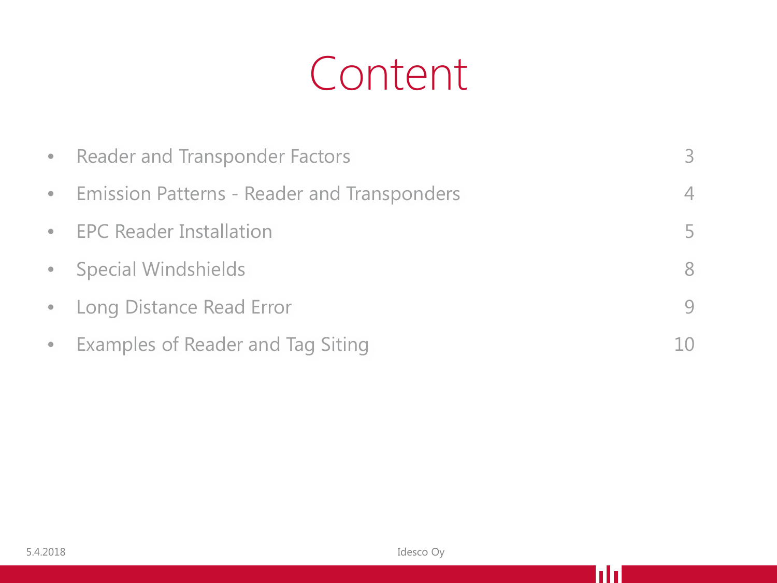#### Content

| • Reader and Transponder Factors              | $\beta$        |
|-----------------------------------------------|----------------|
| • Emission Patterns - Reader and Transponders | $\overline{4}$ |
| • EPC Reader Installation                     | 5              |
| • Special Windshields                         | 8              |
| • Long Distance Read Error                    | $\overline{Q}$ |
| • Examples of Reader and Tag Siting           | 10             |

hh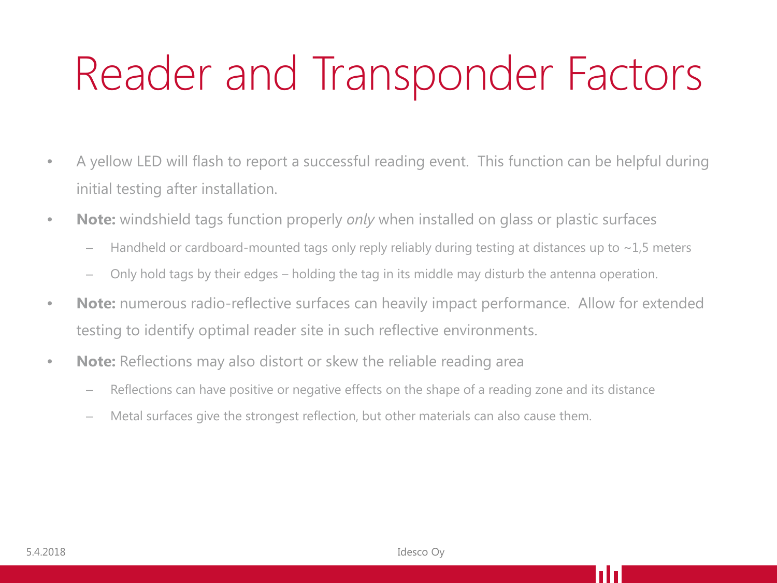## Reader and Transponder Factors

- A yellow LED will flash to report a successful reading event. This function can be helpful during initial testing after installation.
- **Note:** windshield tags function properly *only* when installed on glass or plastic surfaces
	- Handheld or cardboard-mounted tags only reply reliably during testing at distances up to  $\sim$ 1,5 meters
	- Only hold tags by their edges holding the tag in its middle may disturb the antenna operation.
- **Note:** numerous radio-reflective surfaces can heavily impact performance. Allow for extended testing to identify optimal reader site in such reflective environments.
- **Note:** Reflections may also distort or skew the reliable reading area
	- Reflections can have positive or negative effects on the shape of a reading zone and its distance
	- Metal surfaces give the strongest reflection, but other materials can also cause them.

l II D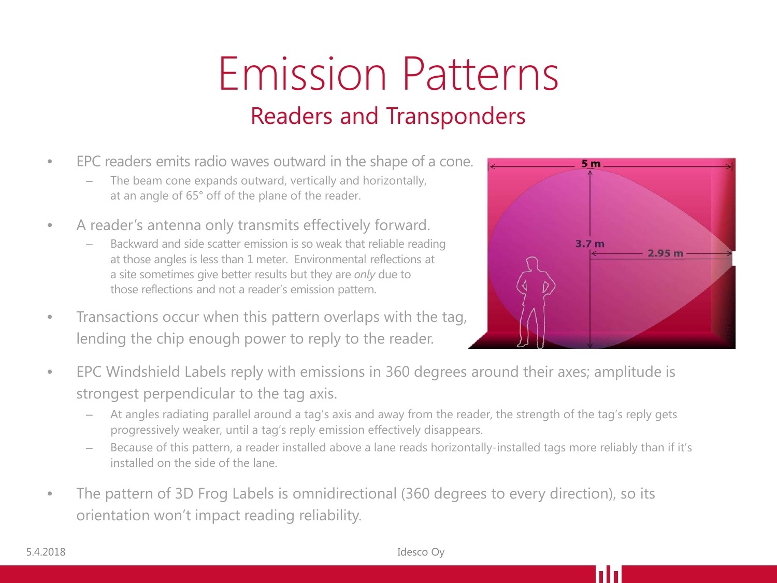#### Emission Patterns Readers and Transponders

- EPC readers emits radio waves outward in the shape of a cone.
	- The beam cone expands outward, vertically and horizontally, at an angle of 65° off of the plane of the reader.
- A reader's antenna only transmits effectively forward.
	- Backward and side scatter emission is so weak that reliable reading at those angles is less than 1 meter. Environmental reflections at a site sometimes give better results but they are *only* due to those reflections and not a reader's emission pattern.
- Transactions occur when this pattern overlaps with the tag, lending the chip enough power to reply to the reader.



- EPC Windshield Labels reply with emissions in 360 degrees around their axes; amplitude is strongest perpendicular to the tag axis.
	- At angles radiating parallel around a tag's axis and away from the reader, the strength of the tag's reply gets progressively weaker, until a tag's reply emission effectively disappears.
	- Because of this pattern, a reader installed above a lane reads horizontally-installed tags more reliably than if it's installed on the side of the lane.
- The pattern of 3D Frog Labels is omnidirectional (360 degrees to every direction), so its orientation won't impact reading reliability.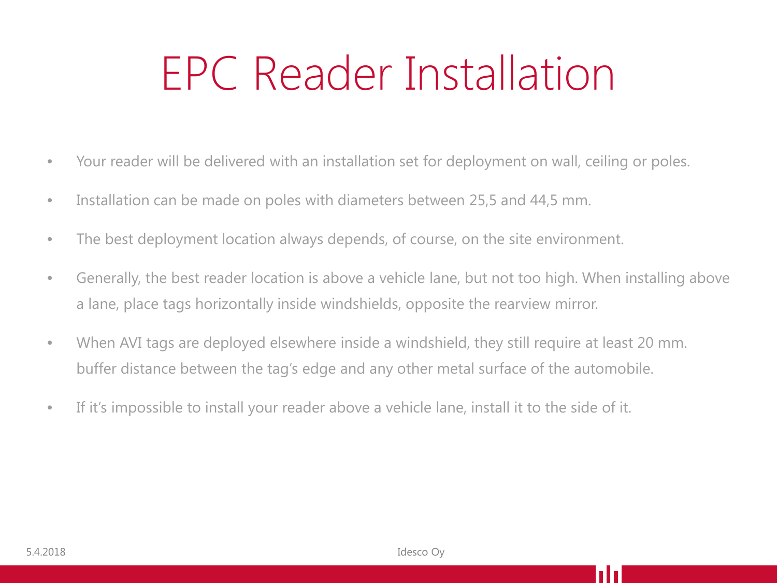## EPC Reader Installation

- Your reader will be delivered with an installation set for deployment on wall, ceiling or poles.
- Installation can be made on poles with diameters between 25,5 and 44,5 mm.
- The best deployment location always depends, of course, on the site environment.
- Generally, the best reader location is above a vehicle lane, but not too high. When installing above a lane, place tags horizontally inside windshields, opposite the rearview mirror.
- When AVI tags are deployed elsewhere inside a windshield, they still require at least 20 mm. buffer distance between the tag's edge and any other metal surface of the automobile.
- If it's impossible to install your reader above a vehicle lane, install it to the side of it.

l I I I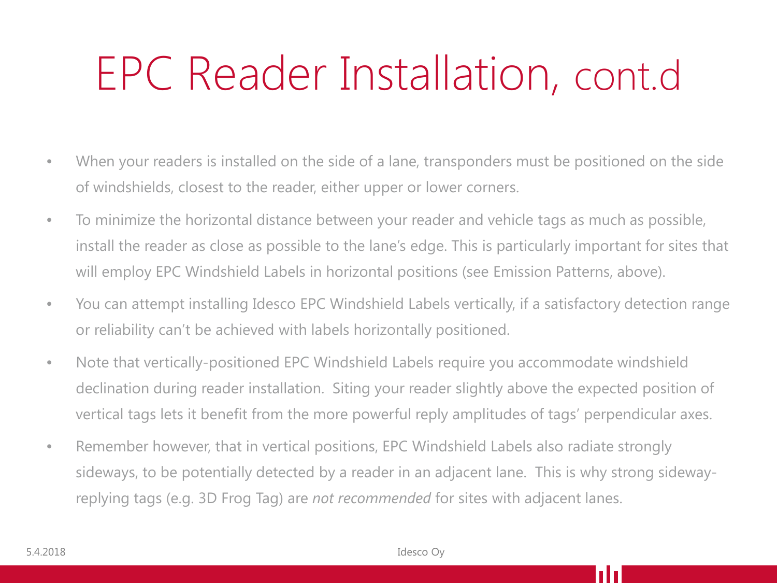#### EPC Reader Installation, cont.d

- When your readers is installed on the side of a lane, transponders must be positioned on the side of windshields, closest to the reader, either upper or lower corners.
- To minimize the horizontal distance between your reader and vehicle tags as much as possible, install the reader as close as possible to the lane's edge. This is particularly important for sites that will employ EPC Windshield Labels in horizontal positions (see Emission Patterns, above).
- You can attempt installing Idesco EPC Windshield Labels vertically, if a satisfactory detection range or reliability can't be achieved with labels horizontally positioned.
- Note that vertically-positioned EPC Windshield Labels require you accommodate windshield declination during reader installation. Siting your reader slightly above the expected position of vertical tags lets it benefit from the more powerful reply amplitudes of tags' perpendicular axes.
- Remember however, that in vertical positions, EPC Windshield Labels also radiate strongly sideways, to be potentially detected by a reader in an adjacent lane. This is why strong sidewayreplying tags (e.g. 3D Frog Tag) are *not recommended* for sites with adjacent lanes.

**TH**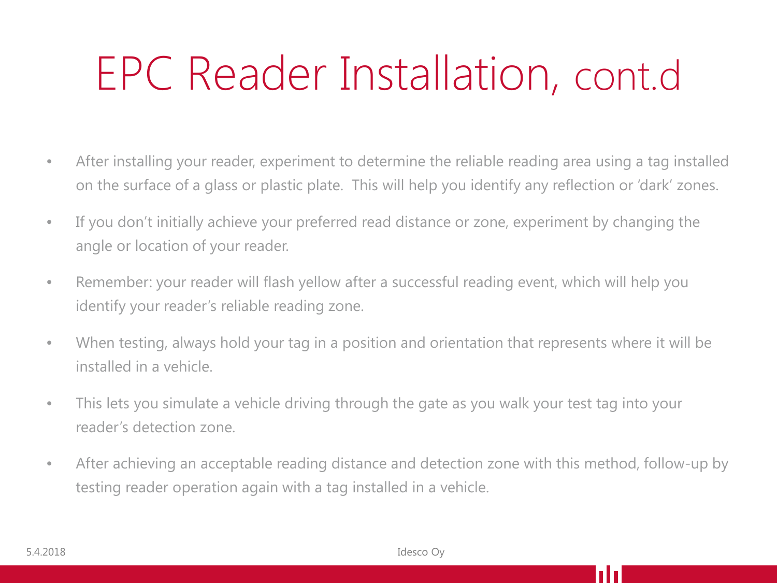## EPC Reader Installation, cont.d

- After installing your reader, experiment to determine the reliable reading area using a tag installed on the surface of a glass or plastic plate. This will help you identify any reflection or 'dark' zones.
- If you don't initially achieve your preferred read distance or zone, experiment by changing the angle or location of your reader.
- Remember: your reader will flash yellow after a successful reading event, which will help you identify your reader's reliable reading zone.
- When testing, always hold your tag in a position and orientation that represents where it will be installed in a vehicle.
- This lets you simulate a vehicle driving through the gate as you walk your test tag into your reader's detection zone.
- After achieving an acceptable reading distance and detection zone with this method, follow-up by testing reader operation again with a tag installed in a vehicle.

**TH**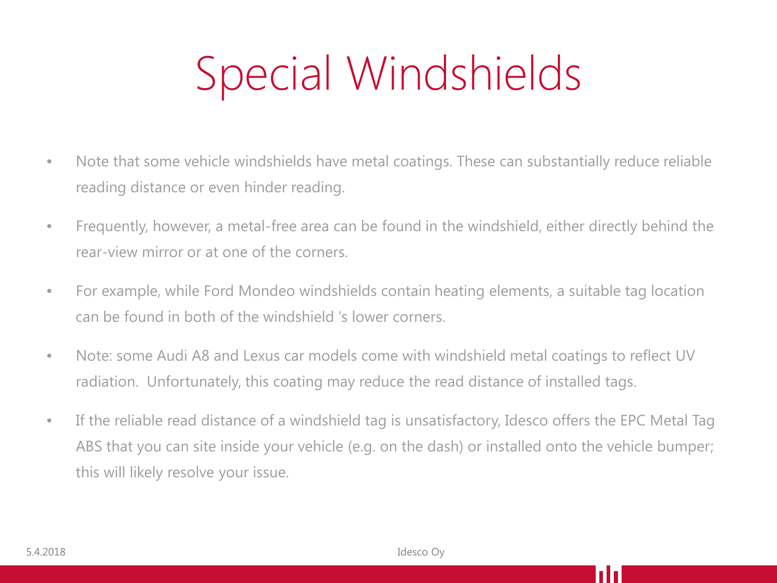# Special Windshields

- Note that some vehicle windshields have metal coatings. These can substantially reduce reliable reading distance or even hinder reading.
- Frequently, however, a metal-free area can be found in the windshield, either directly behind the rear-view mirror or at one of the corners.
- For example, while Ford Mondeo windshields contain heating elements, a suitable tag location can be found in both of the windshield 's lower corners.
- Note: some Audi A8 and Lexus car models come with windshield metal coatings to reflect UV radiation. Unfortunately, this coating may reduce the read distance of installed tags.
- If the reliable read distance of a windshield tag is unsatisfactory, Idesco offers the EPC Metal Tag ABS that you can site inside your vehicle (e.g. on the dash) or installed onto the vehicle bumper; this will likely resolve your issue.

l II D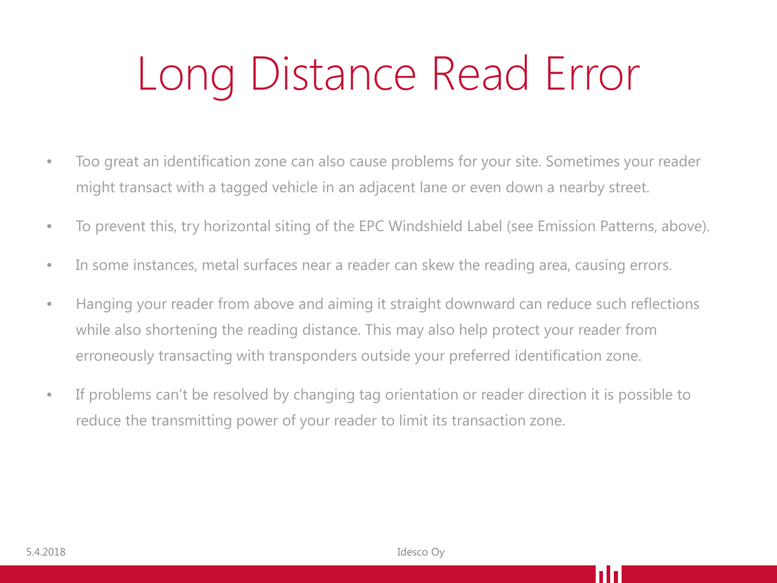# Long Distance Read Error

- Too great an identification zone can also cause problems for your site. Sometimes your reader might transact with a tagged vehicle in an adjacent lane or even down a nearby street.
- To prevent this, try horizontal siting of the EPC Windshield Label (see Emission Patterns, above).
- In some instances, metal surfaces near a reader can skew the reading area, causing errors.
- Hanging your reader from above and aiming it straight downward can reduce such reflections while also shortening the reading distance. This may also help protect your reader from erroneously transacting with transponders outside your preferred identification zone.
- If problems can't be resolved by changing tag orientation or reader direction it is possible to reduce the transmitting power of your reader to limit its transaction zone.

**TH**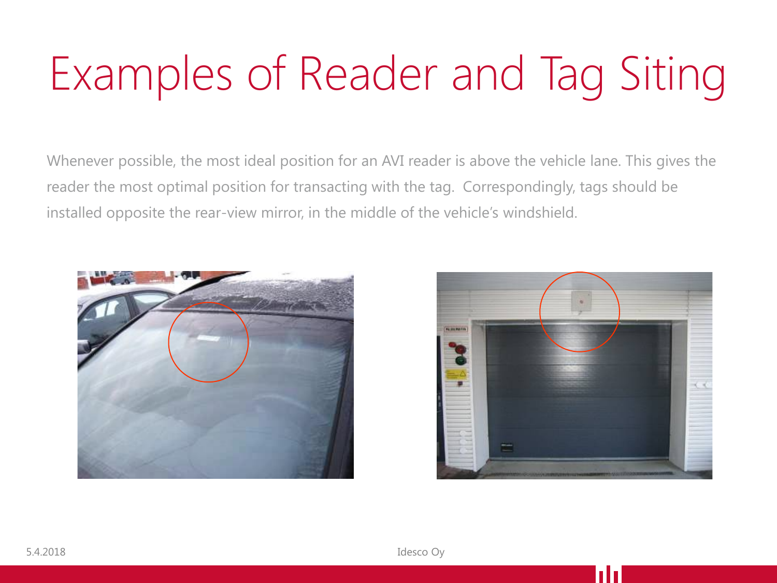# Examples of Reader and Tag Siting

Whenever possible, the most ideal position for an AVI reader is above the vehicle lane. This gives the reader the most optimal position for transacting with the tag. Correspondingly, tags should be installed opposite the rear-view mirror, in the middle of the vehicle's windshield.